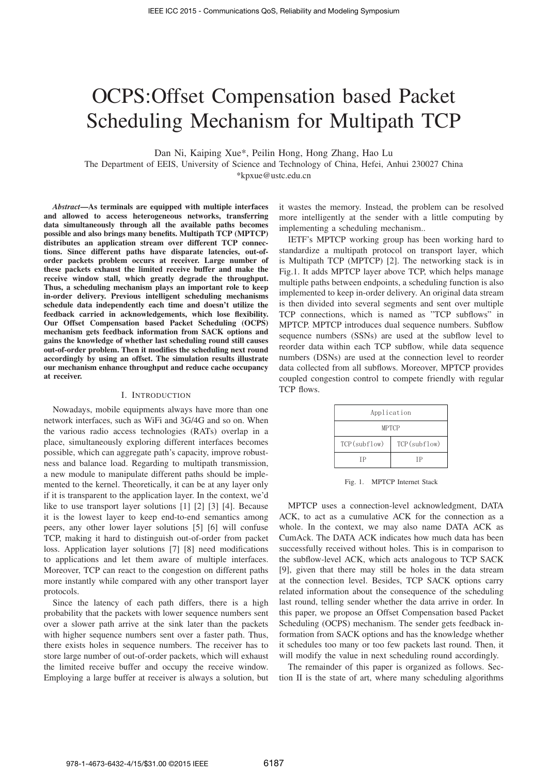# OCPS:Offset Compensation based Packet Scheduling Mechanism for Multipath TCP

Dan Ni, Kaiping Xue\*, Peilin Hong, Hong Zhang, Hao Lu

The Department of EEIS, University of Science and Technology of China, Hefei, Anhui 230027 China \*kpxue@ustc.edu.cn

*Abstract*—As terminals are equipped with multiple interfaces and allowed to access heterogeneous networks, transferring data simultaneously through all the available paths becomes possible and also brings many benefits. Multipath TCP (MPTCP) distributes an application stream over different TCP connections. Since different paths have disparate latencies, out-oforder packets problem occurs at receiver. Large number of these packets exhaust the limited receive buffer and make the receive window stall, which greatly degrade the throughput. Thus, a scheduling mechanism plays an important role to keep in-order delivery. Previous intelligent scheduling mechanisms schedule data independently each time and doesn't utilize the feedback carried in acknowledgements, which lose flexibility. Our Offset Compensation based Packet Scheduling (OCPS) mechanism gets feedback information from SACK options and gains the knowledge of whether last scheduling round still causes out-of-order problem. Then it modifies the scheduling next round accordingly by using an offset. The simulation results illustrate our mechanism enhance throughput and reduce cache occupancy at receiver.

#### I. INTRODUCTION

Nowadays, mobile equipments always have more than one network interfaces, such as WiFi and 3G/4G and so on. When the various radio access technologies (RATs) overlap in a place, simultaneously exploring different interfaces becomes possible, which can aggregate path's capacity, improve robustness and balance load. Regarding to multipath transmission, a new module to manipulate different paths should be implemented to the kernel. Theoretically, it can be at any layer only if it is transparent to the application layer. In the context, we'd like to use transport layer solutions [1] [2] [3] [4]. Because it is the lowest layer to keep end-to-end semantics among peers, any other lower layer solutions [5] [6] will confuse TCP, making it hard to distinguish out-of-order from packet loss. Application layer solutions [7] [8] need modifications to applications and let them aware of multiple interfaces. Moreover, TCP can react to the congestion on different paths more instantly while compared with any other transport layer protocols.

Since the latency of each path differs, there is a high probability that the packets with lower sequence numbers sent over a slower path arrive at the sink later than the packets with higher sequence numbers sent over a faster path. Thus, there exists holes in sequence numbers. The receiver has to store large number of out-of-order packets, which will exhaust the limited receive buffer and occupy the receive window. Employing a large buffer at receiver is always a solution, but

it wastes the memory. Instead, the problem can be resolved more intelligently at the sender with a little computing by implementing a scheduling mechanism..

IETF's MPTCP working group has been working hard to standardize a multipath protocol on transport layer, which is Multipath TCP (MPTCP) [2]. The networking stack is in Fig.1. It adds MPTCP layer above TCP, which helps manage multiple paths between endpoints, a scheduling function is also implemented to keep in-order delivery. An original data stream is then divided into several segments and sent over multiple TCP connections, which is named as "TCP subflows" in MPTCP. MPTCP introduces dual sequence numbers. Subflow sequence numbers (SSNs) are used at the subflow level to reorder data within each TCP subflow, while data sequence numbers (DSNs) are used at the connection level to reorder data collected from all subflows. Moreover, MPTCP provides coupled congestion control to compete friendly with regular TCP flows.

| Application   |               |
|---------------|---------------|
| <b>MPTCP</b>  |               |
| TCP (subflow) | TCP (subflow) |
| ΤP            | ΤP            |

Fig. 1. MPTCP Internet Stack

MPTCP uses a connection-level acknowledgment, DATA ACK, to act as a cumulative ACK for the connection as a whole. In the context, we may also name DATA ACK as CumAck. The DATA ACK indicates how much data has been successfully received without holes. This is in comparison to the subflow-level ACK, which acts analogous to TCP SACK [9], given that there may still be holes in the data stream at the connection level. Besides, TCP SACK options carry related information about the consequence of the scheduling last round, telling sender whether the data arrive in order. In this paper, we propose an Offset Compensation based Packet Scheduling (OCPS) mechanism. The sender gets feedback information from SACK options and has the knowledge whether it schedules too many or too few packets last round. Then, it will modify the value in next scheduling round accordingly.

The remainder of this paper is organized as follows. Section II is the state of art, where many scheduling algorithms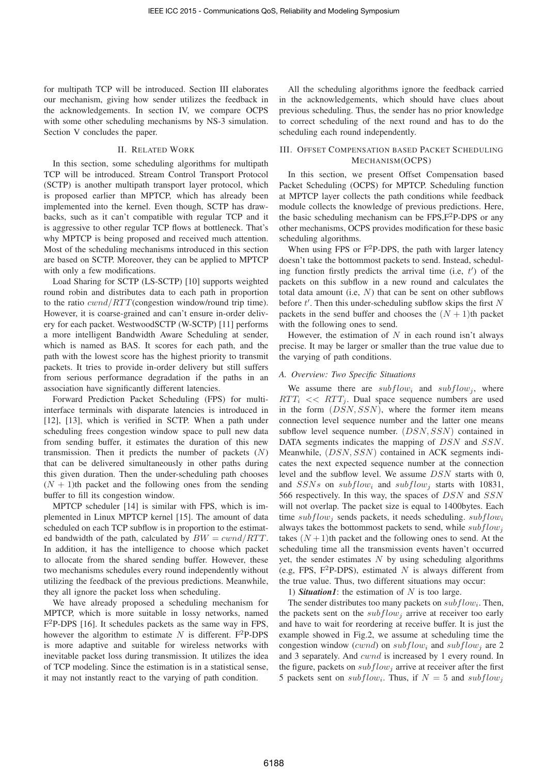for multipath TCP will be introduced. Section III elaborates our mechanism, giving how sender utilizes the feedback in the acknowledgements. In section IV, we compare OCPS with some other scheduling mechanisms by NS-3 simulation. Section V concludes the paper.

# II. RELATED WORK

In this section, some scheduling algorithms for multipath TCP will be introduced. Stream Control Transport Protocol (SCTP) is another multipath transport layer protocol, which is proposed earlier than MPTCP, which has already been implemented into the kernel. Even though, SCTP has drawbacks, such as it can't compatible with regular TCP and it is aggressive to other regular TCP flows at bottleneck. That's why MPTCP is being proposed and received much attention. Most of the scheduling mechanisms introduced in this section are based on SCTP. Moreover, they can be applied to MPTCP with only a few modifications.

Load Sharing for SCTP (LS-SCTP) [10] supports weighted round robin and distributes data to each path in proportion to the ratio  $\text{cwnd}/\text{RTT}$ (congestion window/round trip time). However, it is coarse-grained and can't ensure in-order delivery for each packet. WestwoodSCTP (W-SCTP) [11] performs a more intelligent Bandwidth Aware Scheduling at sender, which is named as BAS. It scores for each path, and the path with the lowest score has the highest priority to transmit packets. It tries to provide in-order delivery but still suffers from serious performance degradation if the paths in an association have significantly different latencies.

Forward Prediction Packet Scheduling (FPS) for multiinterface terminals with disparate latencies is introduced in [12], [13], which is verified in SCTP. When a path under scheduling frees congestion window space to pull new data from sending buffer, it estimates the duration of this new transmission. Then it predicts the number of packets  $(N)$ that can be delivered simultaneously in other paths during this given duration. Then the under-scheduling path chooses  $(N + 1)$ th packet and the following ones from the sending buffer to fill its congestion window.

MPTCP scheduler [14] is similar with FPS, which is implemented in Linux MPTCP kernel [15]. The amount of data scheduled on each TCP subflow is in proportion to the estimated bandwidth of the path, calculated by  $BW = cwnd/RTT$ . In addition, it has the intelligence to choose which packet to allocate from the shared sending buffer. However, these two mechanisms schedules every round independently without utilizing the feedback of the previous predictions. Meanwhile, they all ignore the packet loss when scheduling.

We have already proposed a scheduling mechanism for MPTCP, which is more suitable in lossy networks, named F<sup>2</sup>P-DPS [16]. It schedules packets as the same way in FPS, however the algorithm to estimate N is different.  $F^2P$ -DPS is more adaptive and suitable for wireless networks with inevitable packet loss during transmission. It utilizes the idea of TCP modeling. Since the estimation is in a statistical sense, it may not instantly react to the varying of path condition.

All the scheduling algorithms ignore the feedback carried in the acknowledgements, which should have clues about previous scheduling. Thus, the sender has no prior knowledge to correct scheduling of the next round and has to do the scheduling each round independently.

# III. OFFSET COMPENSATION BASED PACKET SCHEDULING MECHANISM(OCPS)

In this section, we present Offset Compensation based Packet Scheduling (OCPS) for MPTCP. Scheduling function at MPTCP layer collects the path conditions while feedback module collects the knowledge of previous predictions. Here, the basic scheduling mechanism can be  $FPS.F<sup>2</sup>P-DPS$  or any other mechanisms, OCPS provides modification for these basic scheduling algorithms.

When using FPS or F<sup>2</sup>P-DPS, the path with larger latency doesn't take the bottommost packets to send. Instead, scheduling function firstly predicts the arrival time (i.e,  $t'$ ) of the packets on this subflow in a new round and calculates the total data amount (i.e,  $N$ ) that can be sent on other subflows before  $t'$ . Then this under-scheduling subflow skips the first  $N$ packets in the send buffer and chooses the  $(N + 1)$ th packet with the following ones to send.

However, the estimation of  $N$  in each round isn't always precise. It may be larger or smaller than the true value due to the varying of path conditions.

#### *A. Overview: Two Specific Situations*

We assume there are  $subflow_i$  and  $subflow_j$ , where  $RTT_i \ll RTT_i$ . Dual space sequence numbers are used in the form  $(DSN, SSN)$ , where the former item means connection level sequence number and the latter one means subflow level sequence number.  $(DSN, SSN)$  contained in DATA segments indicates the mapping of DSN and SSN. Meanwhile,  $(DSN, SSN)$  contained in ACK segments indicates the next expected sequence number at the connection level and the subflow level. We assume DSN starts with 0, and  $SSNs$  on  $subflow_i$  and  $subflow_j$  starts with 10831, 566 respectively. In this way, the spaces of DSN and SSN will not overlap. The packet size is equal to 1400bytes. Each time  $subflow_i$  sends packets, it needs scheduling.  $subflow_i$ always takes the bottommost packets to send, while  $subflow_j$ takes  $(N+1)$ th packet and the following ones to send. At the scheduling time all the transmission events haven't occurred yet, the sender estimates  $N$  by using scheduling algorithms (e.g, FPS,  $F^2P\text{-DPS}$ ), estimated N is always different from the true value. Thus, two different situations may occur:

1) **Situation1**: the estimation of  $N$  is too large.

The sender distributes too many packets on  $subflow_i$ . Then, the packets sent on the  $subflow_i$  arrive at receiver too early and have to wait for reordering at receive buffer. It is just the example showed in Fig.2, we assume at scheduling time the congestion window (cwnd) on  $subflow_i$  and  $subflow_i$  are 2 and 3 separately. And cwnd is increased by 1 every round. In the figure, packets on  $subflow_j$  arrive at receiver after the first 5 packets sent on  $subflow_i$ . Thus, if  $N = 5$  and  $subflow_i$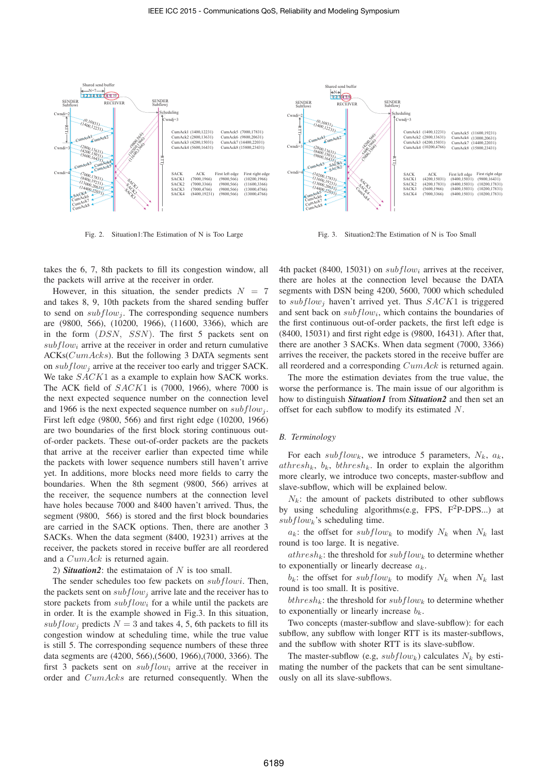

Fig. 2. Situation1:The Estimation of N is Too Large



However, in this situation, the sender predicts  $N = 7$ and takes 8, 9, 10th packets from the shared sending buffer to send on  $subflow_i$ . The corresponding sequence numbers are (9800, 566), (10200, 1966), (11600, 3366), which are in the form  $(DSN, SSN)$ . The first 5 packets sent on  $subflow_i$  arrive at the receiver in order and return cumulative ACKs(CumAcks). But the following 3 DATA segments sent on  $subflow_i$  arrive at the receiver too early and trigger SACK. We take  $SACK1$  as a example to explain how SACK works. The ACK field of  $SACK1$  is (7000, 1966), where 7000 is the next expected sequence number on the connection level and 1966 is the next expected sequence number on  $subflow_i$ . First left edge (9800, 566) and first right edge (10200, 1966) are two boundaries of the first block storing continuous outof-order packets. These out-of-order packets are the packets that arrive at the receiver earlier than expected time while the packets with lower sequence numbers still haven't arrive yet. In additions, more blocks need more fields to carry the boundaries. When the 8th segment (9800, 566) arrives at the receiver, the sequence numbers at the connection level have holes because 7000 and 8400 haven't arrived. Thus, the segment (9800, 566) is stored and the first block boundaries are carried in the SACK options. Then, there are another 3 SACKs. When the data segment (8400, 19231) arrives at the receiver, the packets stored in receive buffer are all reordered and a CumAck is returned again.

2) *Situation2*: the estimataion of N is too small.

The sender schedules too few packets on *subflowi*. Then, the packets sent on  $subflow_i$  arrive late and the receiver has to store packets from  $subflow_i$  for a while until the packets are in order. It is the example showed in Fig.3. In this situation,  $subflow<sub>i</sub>$  predicts  $N = 3$  and takes 4, 5, 6th packets to fill its congestion window at scheduling time, while the true value is still 5. The corresponding sequence numbers of these three data segments are (4200, 566),(5600, 1966),(7000, 3366). The first 3 packets sent on  $subflow_i$  arrive at the receiver in order and CumAcks are returned consequently. When the



Fig. 3. Situation2:The Estimation of N is Too Small

4th packet (8400, 15031) on  $subflow_i$  arrives at the receiver, there are holes at the connection level because the DATA segments with DSN being 4200, 5600, 7000 which scheduled to subflow<sub>i</sub> haven't arrived yet. Thus  $SACK1$  is triggered and sent back on  $subflow_i$ , which contains the boundaries of the first continuous out-of-order packets, the first left edge is (8400, 15031) and first right edge is (9800, 16431). After that, there are another 3 SACKs. When data segment (7000, 3366) arrives the receiver, the packets stored in the receive buffer are all reordered and a corresponding CumAck is returned again.

The more the estimation deviates from the true value, the worse the performance is. The main issue of our algorithm is how to distinguish *Situation1* from *Situation2* and then set an offset for each subflow to modify its estimated N.

#### *B. Terminology*

For each  $subflow_k$ , we introduce 5 parameters,  $N_k$ ,  $a_k$ ,  $athresh_k$ ,  $b_k$ ,  $bthresh_k$ . In order to explain the algorithm more clearly, we introduce two concepts, master-subflow and slave-subflow, which will be explained below.

 $N_k$ : the amount of packets distributed to other subflows by using scheduling algorithms(e.g, FPS,  $F^2P\text{-}DPS...$ ) at  $subflow_k$ 's scheduling time.

 $a_k$ : the offset for subflow<sub>k</sub> to modify  $N_k$  when  $N_k$  last round is too large. It is negative.

 $athresh_k$ : the threshold for  $subflow_k$  to determine whether to exponentially or linearly decrease  $a_k$ .

 $b_k$ : the offset for subflow<sub>k</sub> to modify  $N_k$  when  $N_k$  last round is too small. It is positive.

 $bthresh_k$ : the threshold for  $subflow_k$  to determine whether to exponentially or linearly increase  $b_k$ .

Two concepts (master-subflow and slave-subflow): for each subflow, any subflow with longer RTT is its master-subflows, and the subflow with shoter RTT is its slave-subflow.

The master-subflow (e.g,  $subflow_k$ ) calculates  $N_k$  by estimating the number of the packets that can be sent simultaneously on all its slave-subflows.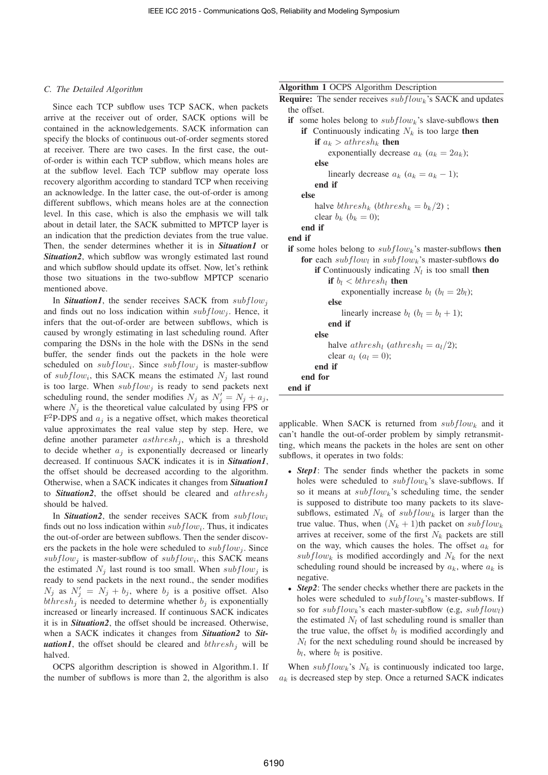# *C. The Detailed Algorithm*

Since each TCP subflow uses TCP SACK, when packets arrive at the receiver out of order, SACK options will be contained in the acknowledgements. SACK information can specify the blocks of continuous out-of-order segments stored at receiver. There are two cases. In the first case, the outof-order is within each TCP subflow, which means holes are at the subflow level. Each TCP subflow may operate loss recovery algorithm according to standard TCP when receiving an acknowledge. In the latter case, the out-of-order is among different subflows, which means holes are at the connection level. In this case, which is also the emphasis we will talk about in detail later, the SACK submitted to MPTCP layer is an indication that the prediction deviates from the true value. Then, the sender determines whether it is in *Situation1* or *Situation2*, which subflow was wrongly estimated last round and which subflow should update its offset. Now, let's rethink those two situations in the two-subflow MPTCP scenario mentioned above.

In **Situation1**, the sender receives SACK from  $subflow_i$ and finds out no loss indication within  $subflow_i$ . Hence, it infers that the out-of-order are between subflows, which is caused by wrongly estimating in last scheduling round. After comparing the DSNs in the hole with the DSNs in the send buffer, the sender finds out the packets in the hole were scheduled on  $subflow_i$ . Since  $subflow_j$  is master-subflow of  $subflow_i$ , this SACK means the estimated  $N_j$  last round is too large. When  $subflow_j$  is ready to send packets next scheduling round, the sender modifies  $N_j$  as  $N'_j = N_j + a_j$ , where  $N_i$  is the theoretical value calculated by using FPS or  $F^2P\text{-DPS}$  and  $a_i$  is a negative offset, which makes theoretical value approximates the real value step by step. Here, we define another parameter  $asthresh_i$ , which is a threshold to decide whether  $a_i$  is exponentially decreased or linearly decreased. If continuous SACK indicates it is in *Situation1*, the offset should be decreased according to the algorithm. Otherwise, when a SACK indicates it changes from *Situation1* to **Situation2**, the offset should be cleared and  $athresh<sub>i</sub>$ should be halved.

In **Situation2**, the sender receives SACK from  $subflow_i$ finds out no loss indication within  $subflow_i$ . Thus, it indicates the out-of-order are between subflows. Then the sender discovers the packets in the hole were scheduled to  $subflow_j$ . Since  $subflow_i$  is master-subflow of  $subflow_i$ , this SACK means the estimated  $N_i$  last round is too small. When subflow<sub>i</sub> is ready to send packets in the next round., the sender modifies  $N_j$  as  $N'_j = N_j + b_j$ , where  $b_j$  is a positive offset. Also  $bthresh_j$  is needed to determine whether  $b_j$  is exponentially increased or linearly increased. If continuous SACK indicates it is in *Situation2*, the offset should be increased. Otherwise, when a SACK indicates it changes from *Situation2* to *Situation1*, the offset should be cleared and  $bthresh_j$  will be halved.

OCPS algorithm description is showed in Algorithm.1. If the number of subflows is more than 2, the algorithm is also

```
Algorithm 1 OCPS Algorithm Description
Require: The sender receives subflow_k's SACK and updates
  the offset.
  if some holes belong to subflow_k's slave-subflows then
      if Continuously indicating N_k is too large then
         if a_k > \text{athresh}_k then
             exponentially decrease a_k (a_k = 2a_k);
         else
             linearly decrease a_k (a_k = a_k - 1);
         end if
      else
         halve bthresh_k (bthresh_k = b_k/2);
         clear b_k (b_k = 0);
      end if
  end if
  if some holes belong to subflow_k's master-subflows then
      for each subflow_l in subflow_k's master-subflows do
         if Continuously indicating N_l is too small then
             if b_l < bthresh_l then
                 exponentially increase b_l (b_l = 2b_l);
             else
                 linearly increase b_l (b_l = b_l + 1);
             end if
         else
             halve athresh_l (athresh_l = a_l/2);
             clear a_l (a_l = 0);
         end if
      end for
  end if
```
applicable. When SACK is returned from  $subflow_k$  and it can't handle the out-of-order problem by simply retransmitting, which means the packets in the holes are sent on other subflows, it operates in two folds:

- *Step1*: The sender finds whether the packets in some holes were scheduled to  $subflow_k$ 's slave-subflows. If so it means at  $subflow_k$ 's scheduling time, the sender is supposed to distribute too many packets to its slavesubflows, estimated  $N_k$  of  $subflow_k$  is larger than the true value. Thus, when  $(N_k + 1)$ th packet on subflow<sub>k</sub> arrives at receiver, some of the first  $N_k$  packets are still on the way, which causes the holes. The offset  $a_k$  for  $subflow_k$  is modified accordingly and  $N_k$  for the next scheduling round should be increased by  $a_k$ , where  $a_k$  is negative.
- *Step2*: The sender checks whether there are packets in the holes were scheduled to  $subflow_k$ 's master-subflows. If so for  $subflow_k$ 's each master-subflow (e.g,  $subflow_l$ ) the estimated  $N_l$  of last scheduling round is smaller than the true value, the offset  $b_l$  is modified accordingly and  $N_l$  for the next scheduling round should be increased by  $b_l$ , where  $b_l$  is positive.

When  $subflow_k$ 's  $N_k$  is continuously indicated too large,  $a_k$  is decreased step by step. Once a returned SACK indicates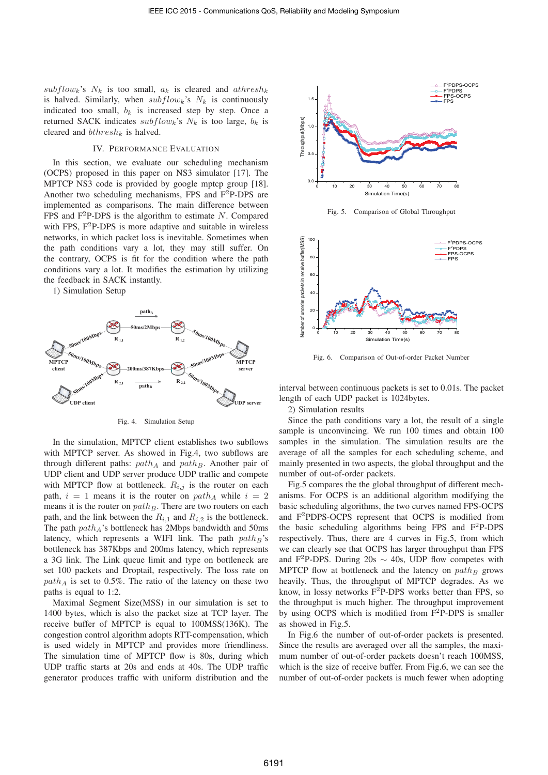$subflow_k$ 's  $N_k$  is too small,  $a_k$  is cleared and  $athresh_k$ is halved. Similarly, when  $subflow_k$ 's  $N_k$  is continuously indicated too small,  $b_k$  is increased step by step. Once a returned SACK indicates  $subflow_k$ 's  $N_k$  is too large,  $b_k$  is cleared and  $bthresh_k$  is halved.

# IV. PERFORMANCE EVALUATION

In this section, we evaluate our scheduling mechanism (OCPS) proposed in this paper on NS3 simulator [17]. The MPTCP NS3 code is provided by google mptcp group [18]. Another two scheduling mechanisms, FPS and  $F<sup>2</sup>P-DPS$  are implemented as comparisons. The main difference between FPS and  $F^2P$ -DPS is the algorithm to estimate N. Compared with FPS,  $F^2P$ -DPS is more adaptive and suitable in wireless networks, in which packet loss is inevitable. Sometimes when the path conditions vary a lot, they may still suffer. On the contrary, OCPS is fit for the condition where the path conditions vary a lot. It modifies the estimation by utilizing the feedback in SACK instantly.

1) Simulation Setup



Fig. 4. Simulation Setup

In the simulation, MPTCP client establishes two subflows with MPTCP server. As showed in Fig.4, two subflows are through different paths:  $path_A$  and  $path_B$ . Another pair of UDP client and UDP server produce UDP traffic and compete with MPTCP flow at bottleneck.  $R_{i,j}$  is the router on each path,  $i = 1$  means it is the router on path<sub>A</sub> while  $i = 2$ means it is the router on  $path_B$ . There are two routers on each path, and the link between the  $R_{i,1}$  and  $R_{i,2}$  is the bottleneck. The path  $path_A$ 's bottleneck has 2Mbps bandwidth and 50ms latency, which represents a WIFI link. The path  $path_B$ 's bottleneck has 387Kbps and 200ms latency, which represents a 3G link. The Link queue limit and type on bottleneck are set 100 packets and Droptail, respectively. The loss rate on  $path_A$  is set to 0.5%. The ratio of the latency on these two paths is equal to 1:2.

Maximal Segment Size(MSS) in our simulation is set to 1400 bytes, which is also the packet size at TCP layer. The receive buffer of MPTCP is equal to 100MSS(136K). The congestion control algorithm adopts RTT-compensation, which is used widely in MPTCP and provides more friendliness. The simulation time of MPTCP flow is 80s, during which UDP traffic starts at 20s and ends at 40s. The UDP traffic generator produces traffic with uniform distribution and the



Fig. 5. Comparison of Global Throughput



Fig. 6. Comparison of Out-of-order Packet Number

interval between continuous packets is set to 0.01s. The packet length of each UDP packet is 1024bytes.

2) Simulation results

Since the path conditions vary a lot, the result of a single sample is unconvincing. We run 100 times and obtain 100 samples in the simulation. The simulation results are the average of all the samples for each scheduling scheme, and mainly presented in two aspects, the global throughput and the number of out-of-order packets.

Fig.5 compares the the global throughput of different mechanisms. For OCPS is an additional algorithm modifying the basic scheduling algorithms, the two curves named FPS-OCPS and F<sup>2</sup>PDPS-OCPS represent that OCPS is modified from the basic scheduling algorithms being FPS and  $F<sup>2</sup>P-DPS$ respectively. Thus, there are 4 curves in Fig.5, from which we can clearly see that OCPS has larger throughput than FPS and F<sup>2</sup>P-DPS. During 20s  $\sim$  40s, UDP flow competes with MPTCP flow at bottleneck and the latency on  $path_B$  grows heavily. Thus, the throughput of MPTCP degrades. As we know, in lossy networks  $F^2P$ -DPS works better than FPS, so the throughput is much higher. The throughput improvement by using OCPS which is modified from  $F^2P$ -DPS is smaller as showed in Fig.5.

In Fig.6 the number of out-of-order packets is presented. Since the results are averaged over all the samples, the maximum number of out-of-order packets doesn't reach 100MSS, which is the size of receive buffer. From Fig.6, we can see the number of out-of-order packets is much fewer when adopting